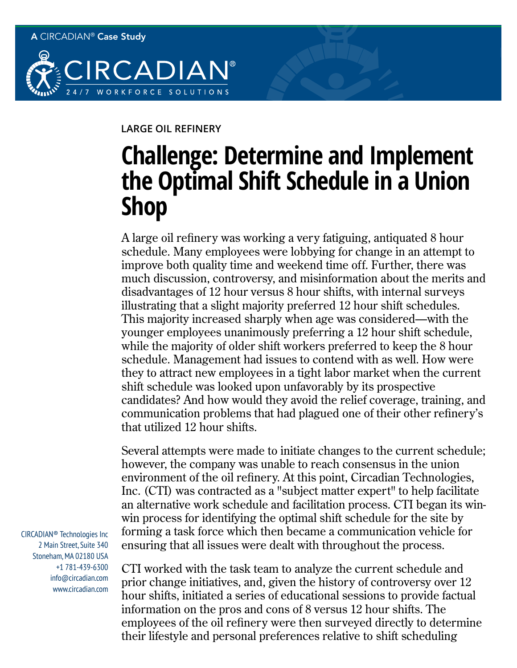

## **LARGE OIL REFINERY**

## **Challenge: Determine and Implement the Optimal Shift Schedule in a Union Shop**

A large oil refinery was working a very fatiguing, antiquated 8 hour schedule. Many employees were lobbying for change in an attempt to improve both quality time and weekend time off. Further, there was much discussion, controversy, and misinformation about the merits and disadvantages of 12 hour versus 8 hour shifts, with internal surveys illustrating that a slight majority preferred 12 hour shift schedules. This majority increased sharply when age was considered—with the younger employees unanimously preferring a 12 hour shift schedule, while the majority of older shift workers preferred to keep the 8 hour schedule. Management had issues to contend with as well. How were they to attract new employees in a tight labor market when the current shift schedule was looked upon unfavorably by its prospective candidates? And how would they avoid the relief coverage, training, and communication problems that had plagued one of their other refinery's that utilized 12 hour shifts.

Several attempts were made to initiate changes to the current schedule; however, the company was unable to reach consensus in the union environment of the oil refinery. At this point, Circadian Technologies, Inc. (CTI) was contracted as a "subject matter expert" to help facilitate an alternative work schedule and facilitation process. CTI began its winwin process for identifying the optimal shift schedule for the site by forming a task force which then became a communication vehicle for ensuring that all issues were dealt with throughout the process.

CTI worked with the task team to analyze the current schedule and prior change initiatives, and, given the history of controversy over 12 hour shifts, initiated a series of educational sessions to provide factual information on the pros and cons of 8 versus 12 hour shifts. The employees of the oil refinery were then surveyed directly to determine their lifestyle and personal preferences relative to shift scheduling

CIRCADIAN® Technologies Inc 2 Main Street, Suite 340 Stoneham, MA 02180 USA +1 781-439-6300 info@circadian.com www.circadian.com